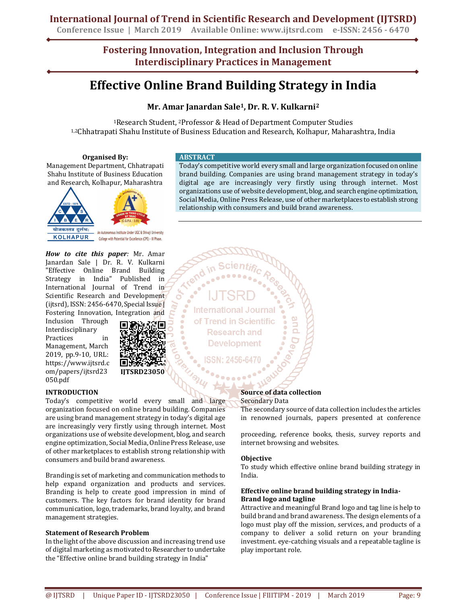**Conference Issue | March 2019 Available Online: www.ijtsrd.com e-ISSN: 2456 - 6470**

**Fostering Innovation, Integration and Inclusion Through Interdisciplinary Practices in Management**

# **Effective Online Brand Building Strategy in India**

## **Mr. Amar Janardan Sale1, Dr. R. V. Kulkarni<sup>2</sup>**

<sup>1</sup>Research Student, 2Professor & Head of Department Computer Studies 1,2Chhatrapati Shahu Institute of Business Education and Research, Kolhapur, Maharashtra, India

#### **Organised By:**

Management Department, Chhatrapati Shahu Institute of Business Education and Research, Kolhapur, Maharashtra



*How to cite this paper:* Mr. Amar Janardan Sale | Dr. R. V. Kulkarni "Effective Online Brand Building Strategy in India" Published in International Journal of Trend in Scientific Research and Development (ijtsrd), ISSN: 2456-6470, Special Issue | Fostering Innovation, Integration and

Inclusion Through Interdisciplinary Practices in Management, March 2019, pp.9-10, URL: https://www.ijtsrd.c om/papers/ijtsrd23 050.pdf



### **INTRODUCTION**

Today's competitive world every small and large organization focused on online brand building. Companies are using brand management strategy in today's digital age are increasingly very firstly using through internet. Most organizations use of website development, blog, and search engine optimization, Social Media, Online Press Release, use of other marketplaces to establish strong relationship with consumers and build brand awareness.

Branding is set of marketing and communication methods to help expand organization and products and services. Branding is help to create good impression in mind of customers. The key factors for brand identity for brand communication, logo, trademarks, brand loyalty, and brand management strategies.

### **Statement of Research Problem**

In the light of the above discussion and increasing trend use of digital marketing as motivated to Researcher to undertake the "Effective online brand building strategy in India"

#### **ABSTRACT**

Today's competitive world every small and large organization focused on online brand building. Companies are using brand management strategy in today's digital age are increasingly very firstly using through internet. Most organizations use of website development, blog, and search engine optimization, Social Media, Online Press Release, use of other marketplaces to establish strong relationship with consumers and build brand awareness.

**International Journal** of Trend in Scientific **Research and Development** 

#### **Source of data collection**  Secondary Data

The secondary source of data collection includes the articles in renowned journals, papers presented at conference

proceeding, reference books, thesis, survey reports and internet browsing and websites.

#### **Objective**

To study which effective online brand building strategy in India.

#### **Effective online brand building strategy in India-Brand logo and tagline**

Attractive and meaningful Brand logo and tag line is help to build brand and brand awareness. The design elements of a logo must play off the mission, services, and products of a company to deliver a solid return on your branding investment. eye-catching visuals and a repeatable tagline is play important role.